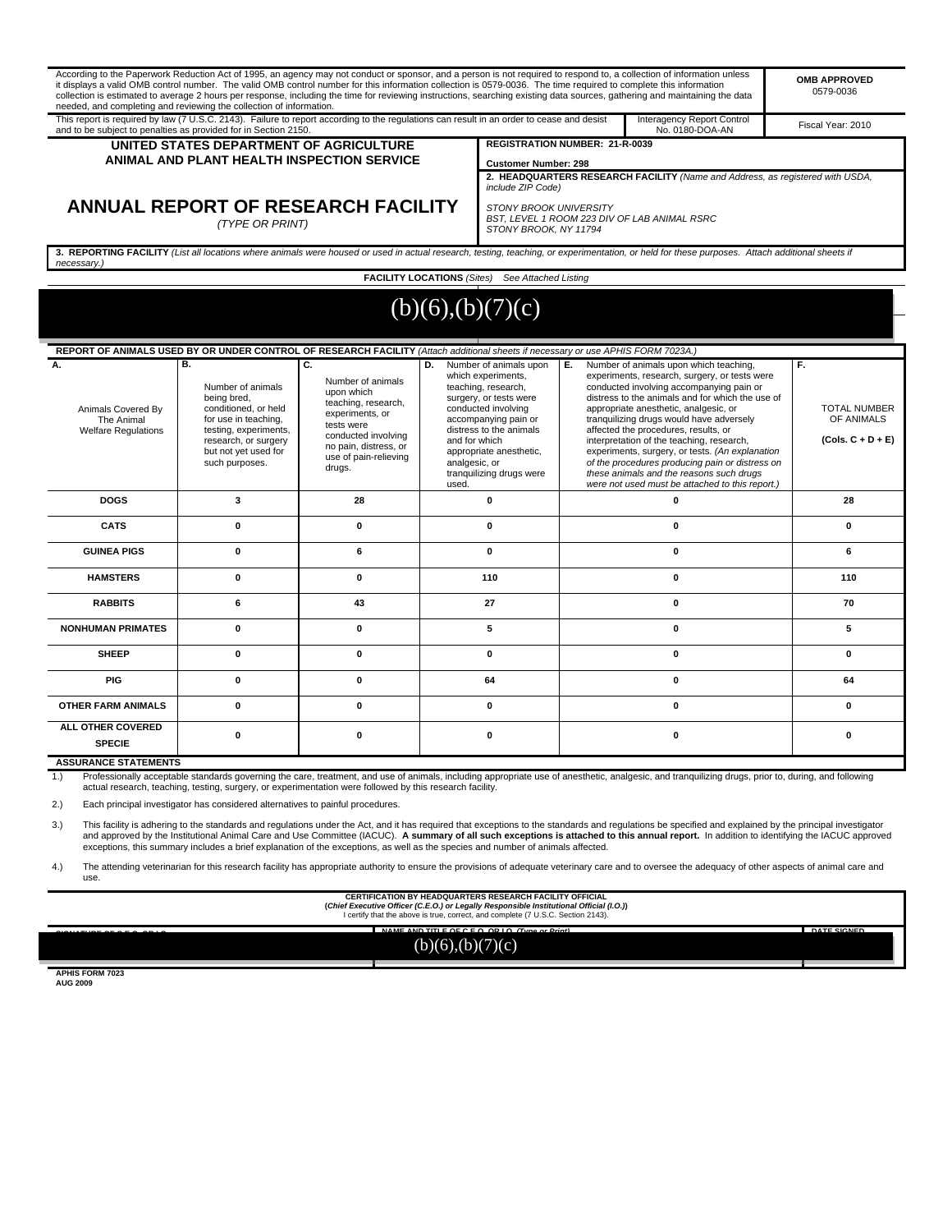|                                                                      | it displays a valid OMB control number. The valid OMB control number for this information collection is 0579-0036. The time required to complete this information<br>needed, and completing and reviewing the collection of information. |                                                                                                                                                                                  |                                                                                                                                                                                                                                                                                 |                                                                                                        |             | According to the Paperwork Reduction Act of 1995, an agency may not conduct or sponsor, and a person is not required to respond to, a collection of information unless<br>collection is estimated to average 2 hours per response, including the time for reviewing instructions, searching existing data sources, gathering and maintaining the data                                                                                                                                                                                                                  | <b>OMB APPROVED</b><br>0579-0036                               |  |
|----------------------------------------------------------------------|------------------------------------------------------------------------------------------------------------------------------------------------------------------------------------------------------------------------------------------|----------------------------------------------------------------------------------------------------------------------------------------------------------------------------------|---------------------------------------------------------------------------------------------------------------------------------------------------------------------------------------------------------------------------------------------------------------------------------|--------------------------------------------------------------------------------------------------------|-------------|------------------------------------------------------------------------------------------------------------------------------------------------------------------------------------------------------------------------------------------------------------------------------------------------------------------------------------------------------------------------------------------------------------------------------------------------------------------------------------------------------------------------------------------------------------------------|----------------------------------------------------------------|--|
|                                                                      | This report is required by law (7 U.S.C. 2143). Failure to report according to the requlations can result in an order to cease and desist<br>and to be subject to penalties as provided for in Section 2150.                             |                                                                                                                                                                                  |                                                                                                                                                                                                                                                                                 |                                                                                                        |             | Interagency Report Control<br>No. 0180-DOA-AN                                                                                                                                                                                                                                                                                                                                                                                                                                                                                                                          | Fiscal Year: 2010                                              |  |
|                                                                      | UNITED STATES DEPARTMENT OF AGRICULTURE                                                                                                                                                                                                  |                                                                                                                                                                                  |                                                                                                                                                                                                                                                                                 | <b>REGISTRATION NUMBER: 21-R-0039</b>                                                                  |             |                                                                                                                                                                                                                                                                                                                                                                                                                                                                                                                                                                        |                                                                |  |
| ANIMAL AND PLANT HEALTH INSPECTION SERVICE                           |                                                                                                                                                                                                                                          |                                                                                                                                                                                  |                                                                                                                                                                                                                                                                                 | <b>Customer Number: 298</b>                                                                            |             |                                                                                                                                                                                                                                                                                                                                                                                                                                                                                                                                                                        |                                                                |  |
|                                                                      |                                                                                                                                                                                                                                          |                                                                                                                                                                                  |                                                                                                                                                                                                                                                                                 | include ZIP Code)                                                                                      |             | 2. HEADQUARTERS RESEARCH FACILITY (Name and Address, as registered with USDA,                                                                                                                                                                                                                                                                                                                                                                                                                                                                                          |                                                                |  |
| ANNUAL REPORT OF RESEARCH FACILITY<br>(TYPE OR PRINT)                |                                                                                                                                                                                                                                          |                                                                                                                                                                                  |                                                                                                                                                                                                                                                                                 | <b>STONY BROOK UNIVERSITY</b><br>BST. LEVEL 1 ROOM 223 DIV OF LAB ANIMAL RSRC<br>STONY BROOK, NY 11794 |             |                                                                                                                                                                                                                                                                                                                                                                                                                                                                                                                                                                        |                                                                |  |
| necessary.)                                                          |                                                                                                                                                                                                                                          |                                                                                                                                                                                  |                                                                                                                                                                                                                                                                                 |                                                                                                        |             | 3. REPORTING FACILITY (List all locations where animals were housed or used in actual research, testing, teaching, or experimentation, or held for these purposes. Attach additional sheets if                                                                                                                                                                                                                                                                                                                                                                         |                                                                |  |
|                                                                      |                                                                                                                                                                                                                                          |                                                                                                                                                                                  |                                                                                                                                                                                                                                                                                 | <b>FACILITY LOCATIONS</b> (Sites) See Attached Listing                                                 |             |                                                                                                                                                                                                                                                                                                                                                                                                                                                                                                                                                                        |                                                                |  |
|                                                                      |                                                                                                                                                                                                                                          |                                                                                                                                                                                  |                                                                                                                                                                                                                                                                                 | (b)(6),(b)(7)(c)                                                                                       |             |                                                                                                                                                                                                                                                                                                                                                                                                                                                                                                                                                                        |                                                                |  |
|                                                                      |                                                                                                                                                                                                                                          |                                                                                                                                                                                  |                                                                                                                                                                                                                                                                                 |                                                                                                        |             |                                                                                                                                                                                                                                                                                                                                                                                                                                                                                                                                                                        |                                                                |  |
|                                                                      | REPORT OF ANIMALS USED BY OR UNDER CONTROL OF RESEARCH FACILITY (Attach additional sheets if necessary or use APHIS FORM 7023A.)                                                                                                         |                                                                                                                                                                                  |                                                                                                                                                                                                                                                                                 |                                                                                                        |             |                                                                                                                                                                                                                                                                                                                                                                                                                                                                                                                                                                        |                                                                |  |
| А.<br>Animals Covered By<br>The Animal<br><b>Welfare Regulations</b> | B.<br>Number of animals<br>being bred,<br>conditioned, or held<br>for use in teaching,<br>testing, experiments,<br>research, or surgery<br>but not yet used for<br>such purposes.                                                        | C.<br>Number of animals<br>upon which<br>teaching, research,<br>experiments, or<br>tests were<br>conducted involving<br>no pain, distress, or<br>use of pain-relieving<br>drugs. | D.<br>Number of animals upon<br>which experiments,<br>teaching, research,<br>surgery, or tests were<br>conducted involving<br>accompanying pain or<br>distress to the animals<br>and for which<br>appropriate anesthetic,<br>analgesic, or<br>tranquilizing drugs were<br>used. |                                                                                                        | E.,         | Number of animals upon which teaching,<br>experiments, research, surgery, or tests were<br>conducted involving accompanying pain or<br>distress to the animals and for which the use of<br>appropriate anesthetic, analgesic, or<br>tranquilizing drugs would have adversely<br>affected the procedures, results, or<br>interpretation of the teaching, research,<br>experiments, surgery, or tests. (An explanation<br>of the procedures producing pain or distress on<br>these animals and the reasons such drugs<br>were not used must be attached to this report.) | F.<br><b>TOTAL NUMBER</b><br>OF ANIMALS<br>$(Cols. C + D + E)$ |  |
| <b>DOGS</b>                                                          | 3                                                                                                                                                                                                                                        | 28                                                                                                                                                                               |                                                                                                                                                                                                                                                                                 | $\mathbf{0}$                                                                                           |             | $\mathbf 0$                                                                                                                                                                                                                                                                                                                                                                                                                                                                                                                                                            | 28                                                             |  |
| <b>CATS</b>                                                          | $\mathbf{0}$                                                                                                                                                                                                                             | $\mathbf{0}$                                                                                                                                                                     | 0                                                                                                                                                                                                                                                                               |                                                                                                        | $\mathbf 0$ |                                                                                                                                                                                                                                                                                                                                                                                                                                                                                                                                                                        | 0                                                              |  |
| <b>GUINEA PIGS</b>                                                   | $\mathbf{0}$                                                                                                                                                                                                                             | 6                                                                                                                                                                                | $\mathbf{0}$                                                                                                                                                                                                                                                                    |                                                                                                        | $\bf{0}$    |                                                                                                                                                                                                                                                                                                                                                                                                                                                                                                                                                                        | 6                                                              |  |
| <b>HAMSTERS</b>                                                      | $\bf{0}$                                                                                                                                                                                                                                 | $\mathbf{0}$                                                                                                                                                                     | 110                                                                                                                                                                                                                                                                             |                                                                                                        |             | $\bf{0}$                                                                                                                                                                                                                                                                                                                                                                                                                                                                                                                                                               | 110                                                            |  |
| <b>RABBITS</b>                                                       | 6                                                                                                                                                                                                                                        | 43                                                                                                                                                                               | 27                                                                                                                                                                                                                                                                              |                                                                                                        |             | 0                                                                                                                                                                                                                                                                                                                                                                                                                                                                                                                                                                      | 70                                                             |  |

**ASSURANCE STATEMENTS**

**ALL OTHER COVERED SPECIE**

1.) Professionally acceptable standards governing the care, treatment, and use of animals, including appropriate use of anesthetic, analgesic, and tranquilizing drugs, prior to, during, and following actual research, teaching, testing, surgery, or experimentation were followed by this research facility.

**OTHER FARM ANIMALS 0 0 0 0 0**

 **NONHUMAN PRIMATES 0 0 5 0 5**

 **SHEEP 0 0 0 0 0 PIG 0 0 64 0 64**

**0 0 0 0 0**

2.) Each principal investigator has considered alternatives to painful procedures.

3.) This facility is adhering to the standards and regulations under the Act, and it has required that exceptions to the standards and regulations be specified and explained by the principal investigator and approved by the Institutional Animal Care and Use Committee (IACUC). **A summary of all such exceptions is attached to this annual report.** In addition to identifying the IACUC approved<br>exceptions, this summary includes

4.) The attending veterinarian for this research facility has appropriate authority to ensure the provisions of adequate veterinary care and to oversee the adequacy of other aspects of animal care and use.

**CERTIFICATION BY HEADQUARTERS RESEARCH FACILITY OFFICIAL**

**(Chief Executive Officer (C.E.O.) or Legally Responsible Institutional Official (I.O.))** I certify that the above is true, correct, and complete (7 U.S.C. Section 2143).

**SIGNATURE OF C.E.O. OR I.O. NAME AND TITLE OF C.E.O. OR I.O. (Type or Print) DATE SIGNED**  $(b)(6),(b)(7)(c)$ 

**APHIS FORM 7023 AUG 2009**